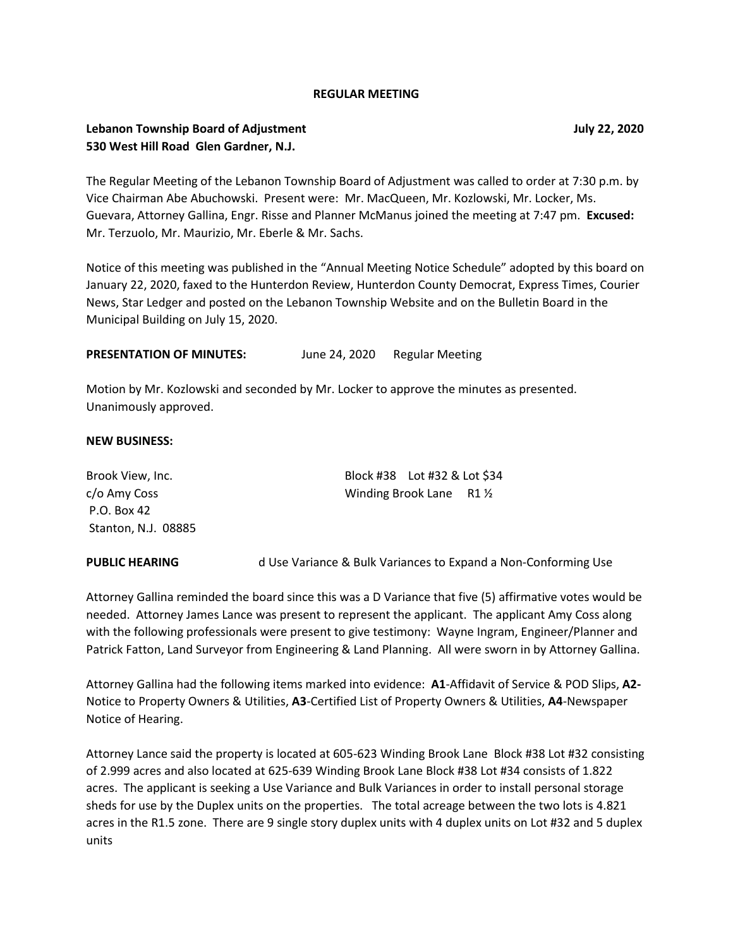#### **REGULAR MEETING**

## **Lebanon Township Board of Adjustment July 22, 2020 530 West Hill Road Glen Gardner, N.J.**

The Regular Meeting of the Lebanon Township Board of Adjustment was called to order at 7:30 p.m. by Vice Chairman Abe Abuchowski. Present were: Mr. MacQueen, Mr. Kozlowski, Mr. Locker, Ms. Guevara, Attorney Gallina, Engr. Risse and Planner McManus joined the meeting at 7:47 pm. **Excused:** Mr. Terzuolo, Mr. Maurizio, Mr. Eberle & Mr. Sachs.

Notice of this meeting was published in the "Annual Meeting Notice Schedule" adopted by this board on January 22, 2020, faxed to the Hunterdon Review, Hunterdon County Democrat, Express Times, Courier News, Star Ledger and posted on the Lebanon Township Website and on the Bulletin Board in the Municipal Building on July 15, 2020.

PRESENTATION OF MINUTES: June 24, 2020 Regular Meeting

Motion by Mr. Kozlowski and seconded by Mr. Locker to approve the minutes as presented. Unanimously approved.

#### **NEW BUSINESS:**

| Brook View, Inc.    | Block #38    Lot #32 & Lot \$34    |  |
|---------------------|------------------------------------|--|
| c/o Amy Coss        | Winding Brook Lane $R1\frac{1}{2}$ |  |
| P.O. Box 42         |                                    |  |
| Stanton, N.J. 08885 |                                    |  |

**PUBLIC HEARING** d Use Variance & Bulk Variances to Expand a Non-Conforming Use

Attorney Gallina reminded the board since this was a D Variance that five (5) affirmative votes would be needed. Attorney James Lance was present to represent the applicant. The applicant Amy Coss along with the following professionals were present to give testimony: Wayne Ingram, Engineer/Planner and Patrick Fatton, Land Surveyor from Engineering & Land Planning. All were sworn in by Attorney Gallina.

Attorney Gallina had the following items marked into evidence: **A1**-Affidavit of Service & POD Slips, **A2-** Notice to Property Owners & Utilities, **A3**-Certified List of Property Owners & Utilities, **A4**-Newspaper Notice of Hearing.

Attorney Lance said the property is located at 605-623 Winding Brook Lane Block #38 Lot #32 consisting of 2.999 acres and also located at 625-639 Winding Brook Lane Block #38 Lot #34 consists of 1.822 acres. The applicant is seeking a Use Variance and Bulk Variances in order to install personal storage sheds for use by the Duplex units on the properties. The total acreage between the two lots is 4.821 acres in the R1.5 zone. There are 9 single story duplex units with 4 duplex units on Lot #32 and 5 duplex units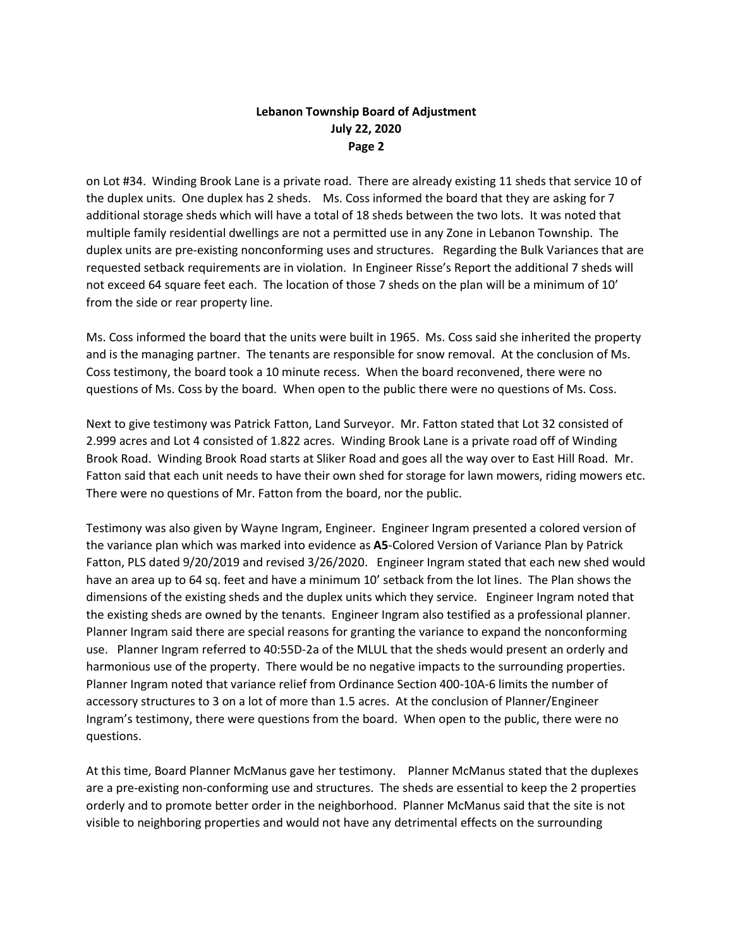# **Lebanon Township Board of Adjustment July 22, 2020 Page 2**

on Lot #34. Winding Brook Lane is a private road. There are already existing 11 sheds that service 10 of the duplex units. One duplex has 2 sheds. Ms. Coss informed the board that they are asking for 7 additional storage sheds which will have a total of 18 sheds between the two lots. It was noted that multiple family residential dwellings are not a permitted use in any Zone in Lebanon Township. The duplex units are pre-existing nonconforming uses and structures. Regarding the Bulk Variances that are requested setback requirements are in violation. In Engineer Risse's Report the additional 7 sheds will not exceed 64 square feet each. The location of those 7 sheds on the plan will be a minimum of 10' from the side or rear property line.

Ms. Coss informed the board that the units were built in 1965. Ms. Coss said she inherited the property and is the managing partner. The tenants are responsible for snow removal. At the conclusion of Ms. Coss testimony, the board took a 10 minute recess. When the board reconvened, there were no questions of Ms. Coss by the board. When open to the public there were no questions of Ms. Coss.

Next to give testimony was Patrick Fatton, Land Surveyor. Mr. Fatton stated that Lot 32 consisted of 2.999 acres and Lot 4 consisted of 1.822 acres. Winding Brook Lane is a private road off of Winding Brook Road. Winding Brook Road starts at Sliker Road and goes all the way over to East Hill Road. Mr. Fatton said that each unit needs to have their own shed for storage for lawn mowers, riding mowers etc. There were no questions of Mr. Fatton from the board, nor the public.

Testimony was also given by Wayne Ingram, Engineer. Engineer Ingram presented a colored version of the variance plan which was marked into evidence as **A5**-Colored Version of Variance Plan by Patrick Fatton, PLS dated 9/20/2019 and revised 3/26/2020. Engineer Ingram stated that each new shed would have an area up to 64 sq. feet and have a minimum 10' setback from the lot lines. The Plan shows the dimensions of the existing sheds and the duplex units which they service. Engineer Ingram noted that the existing sheds are owned by the tenants. Engineer Ingram also testified as a professional planner. Planner Ingram said there are special reasons for granting the variance to expand the nonconforming use. Planner Ingram referred to 40:55D-2a of the MLUL that the sheds would present an orderly and harmonious use of the property. There would be no negative impacts to the surrounding properties. Planner Ingram noted that variance relief from Ordinance Section 400-10A-6 limits the number of accessory structures to 3 on a lot of more than 1.5 acres. At the conclusion of Planner/Engineer Ingram's testimony, there were questions from the board. When open to the public, there were no questions.

At this time, Board Planner McManus gave her testimony. Planner McManus stated that the duplexes are a pre-existing non-conforming use and structures. The sheds are essential to keep the 2 properties orderly and to promote better order in the neighborhood. Planner McManus said that the site is not visible to neighboring properties and would not have any detrimental effects on the surrounding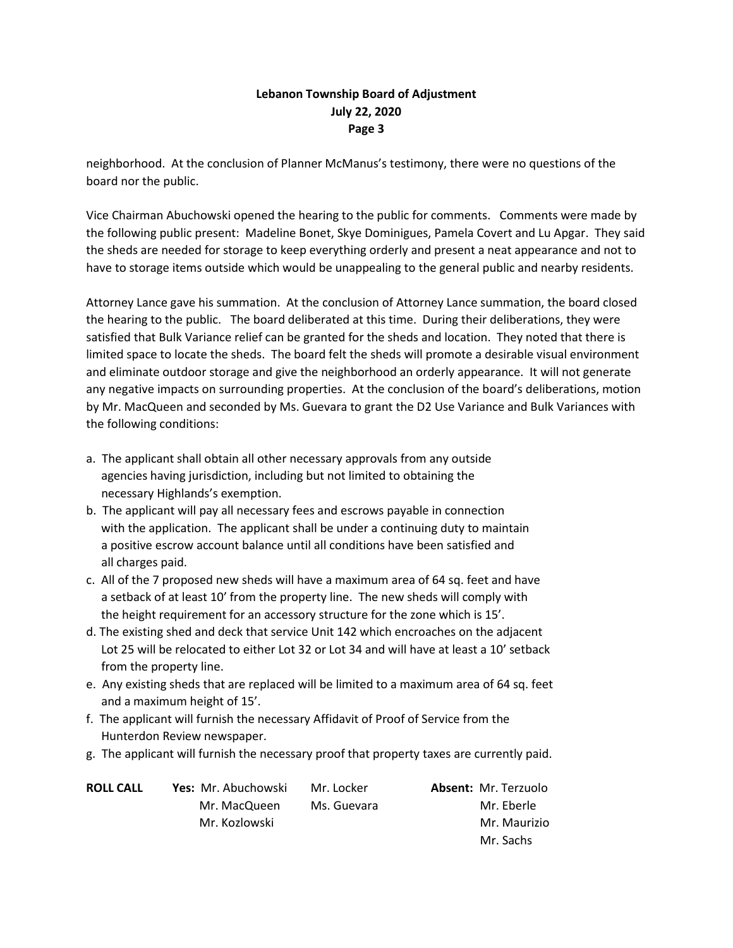# **Lebanon Township Board of Adjustment July 22, 2020 Page 3**

neighborhood. At the conclusion of Planner McManus's testimony, there were no questions of the board nor the public.

Vice Chairman Abuchowski opened the hearing to the public for comments. Comments were made by the following public present: Madeline Bonet, Skye Dominigues, Pamela Covert and Lu Apgar. They said the sheds are needed for storage to keep everything orderly and present a neat appearance and not to have to storage items outside which would be unappealing to the general public and nearby residents.

Attorney Lance gave his summation. At the conclusion of Attorney Lance summation, the board closed the hearing to the public. The board deliberated at this time. During their deliberations, they were satisfied that Bulk Variance relief can be granted for the sheds and location. They noted that there is limited space to locate the sheds. The board felt the sheds will promote a desirable visual environment and eliminate outdoor storage and give the neighborhood an orderly appearance. It will not generate any negative impacts on surrounding properties. At the conclusion of the board's deliberations, motion by Mr. MacQueen and seconded by Ms. Guevara to grant the D2 Use Variance and Bulk Variances with the following conditions:

- a. The applicant shall obtain all other necessary approvals from any outside agencies having jurisdiction, including but not limited to obtaining the necessary Highlands's exemption.
- b. The applicant will pay all necessary fees and escrows payable in connection with the application. The applicant shall be under a continuing duty to maintain a positive escrow account balance until all conditions have been satisfied and all charges paid.
- c. All of the 7 proposed new sheds will have a maximum area of 64 sq. feet and have a setback of at least 10' from the property line. The new sheds will comply with the height requirement for an accessory structure for the zone which is 15'.
- d. The existing shed and deck that service Unit 142 which encroaches on the adjacent Lot 25 will be relocated to either Lot 32 or Lot 34 and will have at least a 10' setback from the property line.
- e. Any existing sheds that are replaced will be limited to a maximum area of 64 sq. feet and a maximum height of 15'.
- f. The applicant will furnish the necessary Affidavit of Proof of Service from the Hunterdon Review newspaper.
- g. The applicant will furnish the necessary proof that property taxes are currently paid.

| <b>ROLL CALL</b> | Yes: Mr. Abuchowski | Mr. Locker  | <b>Absent: Mr. Terzuolo</b> |
|------------------|---------------------|-------------|-----------------------------|
|                  | Mr. MacQueen        | Ms. Guevara | Mr. Eberle                  |
|                  | Mr. Kozlowski       |             | Mr. Maurizio                |
|                  |                     |             | Mr. Sachs                   |